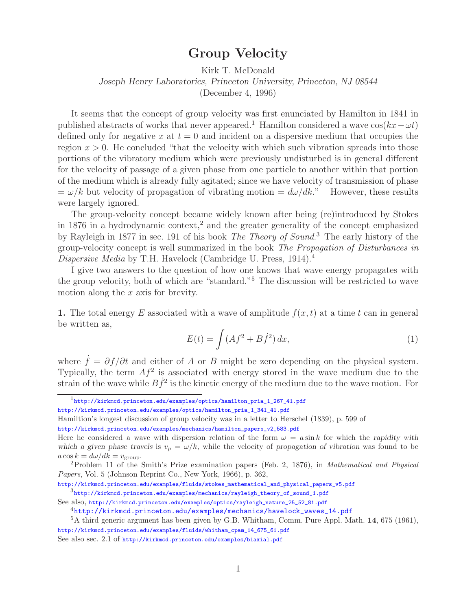## **Group Velocity**

Kirk T. McDonald

*Joseph Henry Laboratories, Princeton University, Princeton, NJ 08544*

(December 4, 1996)

It seems that the concept of group velocity was first enunciated by Hamilton in 1841 in published abstracts of works that never appeared.<sup>1</sup> Hamilton considered a wave  $\cos(kx-\omega t)$ defined only for negative x at  $t = 0$  and incident on a dispersive medium that occupies the region  $x > 0$ . He concluded "that the velocity with which such vibration spreads into those portions of the vibratory medium which were previously undisturbed is in general different for the velocity of passage of a given phase from one particle to another within that portion of the medium which is already fully agitated; since we have velocity of transmission of phase  $=\omega/k$  but velocity of propagation of vibrating motion  $=\frac{d\omega}{dk}$ ." However, these results were largely ignored.

The group-velocity concept became widely known after being (re)introduced by Stokes in 1876 in a hydrodynamic context,<sup>2</sup> and the greater generality of the concept emphasized by Rayleigh in 1877 in sec. 191 of his book *The Theory of Sound*. <sup>3</sup> The early history of the group-velocity concept is well summarized in the book *The Propagation of Disturbances in Dispersive Media* by T.H. Havelock (Cambridge U. Press, 1914).<sup>4</sup>

I give two answers to the question of how one knows that wave energy propagates with the group velocity, both of which are "standard."<sup>5</sup> The discussion will be restricted to wave motion along the  $x$  axis for brevity.

**1.** The total energy E associated with a wave of amplitude  $f(x, t)$  at a time t can in general be written as,

$$
E(t) = \int (Af^2 + B\dot{f}^2) dx,\tag{1}
$$

where  $\dot{f} = \partial f / \partial t$  and either of A or B might be zero depending on the physical system. Typically, the term  $Af^2$  is associated with energy stored in the wave medium due to the strain of the wave while  $B\dot{f}^2$  is the kinetic energy of the medium due to the wave motion. For

<sup>1</sup>http://kirkmcd.princeton.edu/examples/optics/hamilton\_pria\_1\_267\_41.pdf

http://kirkmcd.princeton.edu/examples/optics/hamilton\_pria\_1\_341\_41.pdf

Hamiltion's longest discussion of group velocity was in a letter to Herschel (1839), p. 599 of http://kirkmcd.princeton.edu/examples/mechanics/hamilton\_papers\_v2\_583.pdf

Here he considered a wave with dispersion relation of the form  $\omega = a \sin k$  for which the *rapidity with* which a given phase travels is  $v_p = \omega/k$ , while the velocity of *propagation* of vibration was found to be  $a \cos k = d\omega/dk = v_{\text{group}}$ .

<sup>&</sup>lt;sup>2</sup>Problem 11 of the Smith's Prize examination papers (Feb. 2, 1876), in *Mathematical and Physical Papers*, Vol. 5 (Johnson Reprint Co., New York, 1966), p. 362,

http://kirkmcd.princeton.edu/examples/fluids/stokes\_mathematical\_and\_physical\_papers\_v5.pdf  $^3$ http://kirkmcd.princeton.edu/examples/mechanics/rayleigh\_theory\_of\_sound\_1.pdf

See also, http://kirkmcd.princeton.edu/examples/optics/rayleigh\_nature\_25\_52\_81.pdf

<sup>4</sup>http://kirkmcd.princeton.edu/examples/mechanics/havelock\_waves\_14.pdf

<sup>5</sup>A third generic argument has been given by G.B. Whitham, Comm. Pure Appl. Math. **14**, 675 (1961), http://kirkmcd.princeton.edu/examples/fluids/whitham\_cpam\_14\_675\_61.pdf

See also sec. 2.1 of http://kirkmcd.princeton.edu/examples/biaxial.pdf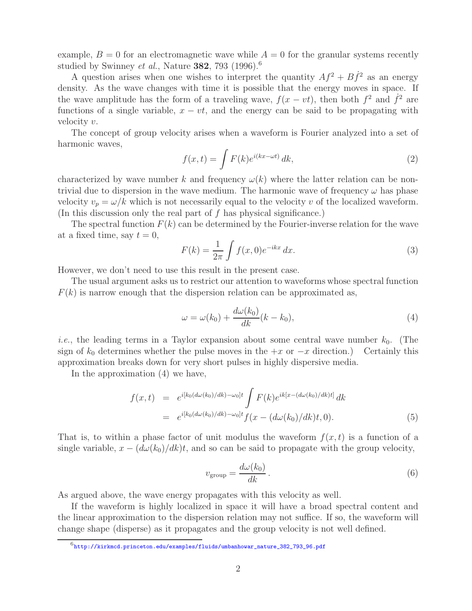example,  $B = 0$  for an electromagnetic wave while  $A = 0$  for the granular systems recently studied by Swinney *et al.*, Nature **382**, 793 (1996).<sup>6</sup>

A question arises when one wishes to interpret the quantity  $Af^2 + B\dot{f}^2$  as an energy density. As the wave changes with time it is possible that the energy moves in space. If the wave amplitude has the form of a traveling wave,  $f(x - vt)$ , then both  $f^2$  and  $\dot{f}^2$  are functions of a single variable,  $x - vt$ , and the energy can be said to be propagating with velocity v.

The concept of group velocity arises when a waveform is Fourier analyzed into a set of harmonic waves,

$$
f(x,t) = \int F(k)e^{i(kx - \omega t)} dk,
$$
\n(2)

characterized by wave number k and frequency  $\omega(k)$  where the latter relation can be nontrivial due to dispersion in the wave medium. The harmonic wave of frequency  $\omega$  has phase velocity  $v_p = \omega/k$  which is not necessarily equal to the velocity v of the localized waveform. (In this discussion only the real part of  $f$  has physical significance.)

The spectral function  $F(k)$  can be determined by the Fourier-inverse relation for the wave at a fixed time, say  $t = 0$ ,

$$
F(k) = \frac{1}{2\pi} \int f(x,0)e^{-ikx} dx.
$$
\n
$$
(3)
$$

However, we don't need to use this result in the present case.

The usual argument asks us to restrict our attention to waveforms whose spectral function  $F(k)$  is narrow enough that the dispersion relation can be approximated as,

$$
\omega = \omega(k_0) + \frac{d\omega(k_0)}{dk}(k - k_0),\tag{4}
$$

*i.e.*, the leading terms in a Taylor expansion about some central wave number  $k_0$ . (The sign of  $k_0$  determines whether the pulse moves in the  $+x$  or  $-x$  direction.) Certainly this sign of  $k_0$  determines whether the pulse moves in the  $+x$  or  $-x$  direction.) approximation breaks down for very short pulses in highly dispersive media.

In the approximation (4) we have,

$$
f(x,t) = e^{i[k_0(d\omega(k_0)/dk) - \omega_0]t} \int F(k)e^{ik[x - (d\omega(k_0)/dk)t]} dk
$$
  
= 
$$
e^{i[k_0(d\omega(k_0)/dk) - \omega_0]t} f(x - (d\omega(k_0)/dk)t, 0).
$$
 (5)

That is, to within a phase factor of unit modulus the waveform  $f(x, t)$  is a function of a single variable,  $x - (d\omega(k_0)/dk)t$ , and so can be said to propagate with the group velocity,

$$
v_{\text{group}} = \frac{d\omega(k_0)}{dk} \,. \tag{6}
$$

As argued above, the wave energy propagates with this velocity as well.

If the waveform is highly localized in space it will have a broad spectral content and the linear approximation to the dispersion relation may not suffice. If so, the waveform will change shape (disperse) as it propagates and the group velocity is not well defined.

 $^6$ http://kirkmcd.princeton.edu/examples/fluids/umbanhowar\_nature\_382\_793\_96.pdf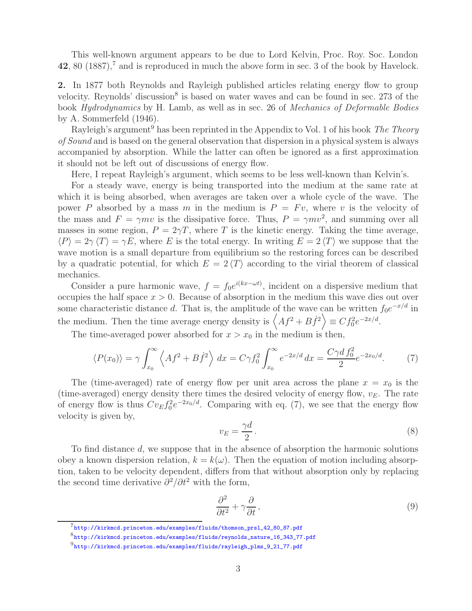This well-known argument appears to be due to Lord Kelvin, Proc. Roy. Soc. London **42**, 80 (1887),<sup>7</sup> and is reproduced in much the above form in sec. 3 of the book by Havelock.

**2.** In 1877 both Reynolds and Rayleigh published articles relating energy flow to group velocity. Reynolds' discussion<sup>8</sup> is based on water waves and can be found in sec. 273 of the book *Hydrodynamics* by H. Lamb, as well as in sec. 26 of *Mechanics of Deformable Bodies* by A. Sommerfeld (1946).

Rayleigh's argument<sup>9</sup> has been reprinted in the Appendix to Vol. 1 of his book *The Theory of Sound* and is based on the general observation that dispersion in a physical system is always accompanied by absorption. While the latter can often be ignored as a first approximation it should not be left out of discussions of energy flow.

Here, I repeat Rayleigh's argument, which seems to be less well-known than Kelvin's.

For a steady wave, energy is being transported into the medium at the same rate at which it is being absorbed, when averages are taken over a whole cycle of the wave. The power P absorbed by a mass m in the medium is  $P = Fv$ , where v is the velocity of the mass and  $F = \gamma mv$  is the dissipative force. Thus,  $P = \gamma mv^2$ , and summing over all masses in some region,  $P = 2\gamma T$ , where T is the kinetic energy. Taking the time average,  $\langle P \rangle = 2\gamma \langle T \rangle = \gamma E$ , where E is the total energy. In writing  $E = 2 \langle T \rangle$  we suppose that the wave motion is a small departure from equilibrium so the restoring forces can be described by a quadratic potential, for which  $E = 2\langle T \rangle$  according to the virial theorem of classical mechanics.

Consider a pure harmonic wave,  $f = f_0 e^{i(kx - \omega t)}$ , incident on a dispersive medium that occupies the half space  $x > 0$ . Because of absorption in the medium this wave dies out over some characteristic distance d. That is, the amplitude of the wave can be written  $f_0e^{-x/d}$  in the medium. Then the time average energy density is  $\left\langle Af^2 + B\dot{f}^2 \right\rangle \equiv Cf_0^2 e^{-2x/d}$ .

The time-averaged power absorbed for  $x > x_0$  in the medium is then,

$$
\langle P(x_0) \rangle = \gamma \int_{x_0}^{\infty} \left\langle Af^2 + B \dot{f}^2 \right\rangle dx = C \gamma f_0^2 \int_{x_0}^{\infty} e^{-2x/d} dx = \frac{C \gamma d f_0^2}{2} e^{-2x_0/d}.
$$
 (7)

The (time-averaged) rate of energy flow per unit area across the plane  $x = x_0$  is the (time-averaged) energy density there times the desired velocity of energy flow,  $v_E$ . The rate of energy flow is thus  $Cv_E f_0^2 e^{-2x_0/d}$ . Comparing with eq. (7), we see that the energy flow velocity is given by,

$$
v_E = \frac{\gamma d}{2}.\tag{8}
$$

To find distance d, we suppose that in the absence of absorption the harmonic solutions obey a known dispersion relation,  $k = k(\omega)$ . Then the equation of motion including absorption, taken to be velocity dependent, differs from that without absorption only by replacing the second time derivative  $\partial^2/\partial t^2$  with the form,

$$
\frac{\partial^2}{\partial t^2} + \gamma \frac{\partial}{\partial t},\tag{9}
$$

<sup>7</sup>http://kirkmcd.princeton.edu/examples/fluids/thomson\_prsl\_42\_80\_87.pdf

<sup>8</sup>http://kirkmcd.princeton.edu/examples/fluids/reynolds\_nature\_16\_343\_77.pdf

<sup>9</sup>http://kirkmcd.princeton.edu/examples/fluids/rayleigh\_plms\_9\_21\_77.pdf